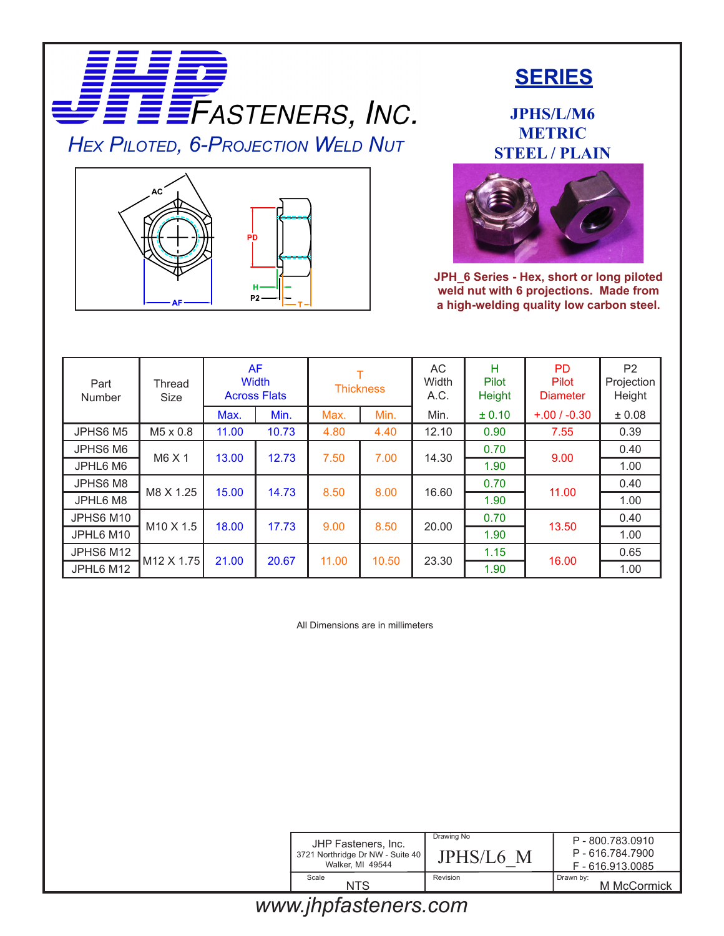



## **SERIES**

**JPHS/L/M6 METRIC STEEL / PLAIN**



**JPH\_6 Series - Hex, short or long piloted weld nut with 6 projections. Made from a high-welding quality low carbon steel.**

| Part<br>Number | Thread<br><b>Size</b>  | <b>AF</b> | <b>Width</b><br><b>Across Flats</b> | <b>Thickness</b> |       | AC<br>Width<br>A.C. | H<br>Pilot<br>Height | <b>PD</b><br>Pilot<br><b>Diameter</b> | P <sub>2</sub><br>Projection<br>Height |
|----------------|------------------------|-----------|-------------------------------------|------------------|-------|---------------------|----------------------|---------------------------------------|----------------------------------------|
|                |                        | Max.      | Min.                                | Max.             | Min.  | Min.                | ± 0.10               | $+.00 / -0.30$                        | ± 0.08                                 |
| JPHS6 M5       | M5 x 0.8               | 11.00     | 10.73                               | 4.80             | 4.40  | 12.10               | 0.90                 | 7.55                                  | 0.39                                   |
| JPHS6 M6       | M6 X 1                 | 13.00     | 12.73                               | 7.50             | 7.00  | 14.30               | 0.70                 | 9.00                                  | 0.40                                   |
| JPHL6 M6       |                        |           |                                     |                  |       |                     | 1.90                 |                                       | 1.00                                   |
| JPHS6 M8       | M8 X 1.25              | 15.00     | 14.73                               | 8.50             | 8.00  | 16.60               | 0.70                 | 11.00                                 | 0.40                                   |
| JPHL6 M8       |                        |           |                                     |                  |       |                     | 1.90                 |                                       | 1.00                                   |
| JPHS6 M10      | M <sub>10</sub> X 1.5  | 18.00     | 17.73                               | 9.00             | 8.50  | 20.00               | 0.70                 | 13.50                                 | 0.40                                   |
| JPHL6 M10      |                        |           |                                     |                  |       |                     | 1.90                 |                                       | 1.00                                   |
| JPHS6 M12      | M <sub>12</sub> X 1.75 | 21.00     | 20.67                               | 11.00            | 10.50 | 23.30               | 1.15                 | 16.00                                 | 0.65                                   |
| JPHL6 M12      |                        |           |                                     |                  |       |                     | 1.90                 |                                       | 1.00                                   |

All Dimensions are in millimeters

| JHP Fasteners, Inc.<br>3721 Northridge Dr NW - Suite 40<br>Walker, MI 49544 | Drawing No<br>JPHS/L6 M | P-800.783.0910<br>P - 616.784.7900<br>F-616.913.0085 |  |  |
|-----------------------------------------------------------------------------|-------------------------|------------------------------------------------------|--|--|
| Scale<br>NTS                                                                | Revision                | Drawn by:<br>M McCormick                             |  |  |

## *www.jhpfasteners.com*